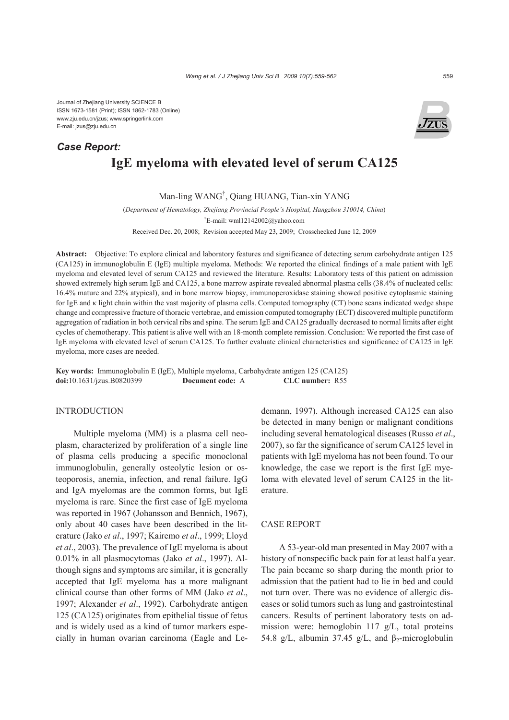Journal of Zhejiang University SCIENCE B ISSN 1673-1581 (Print); ISSN 1862-1783 (Online) www.zju.edu.cn/jzus; www.springerlink.com E-mail: jzus@zju.edu.cn

# **IgE myeloma with elevated level of serum CA125**  *Case Report:*

Man-ling WANG† , Qiang HUANG, Tian-xin YANG

(*Department of Hematology, Zhejiang Provincial People's Hospital, Hangzhou 310014, China*) † E-mail: wml12142002@yahoo.com Received Dec. 20, 2008; Revision accepted May 23, 2009; Crosschecked June 12, 2009

**Abstract:** Objective: To explore clinical and laboratory features and significance of detecting serum carbohydrate antigen 125 (CA125) in immunoglobulin E (IgE) multiple myeloma. Methods: We reported the clinical findings of a male patient with IgE myeloma and elevated level of serum CA125 and reviewed the literature. Results: Laboratory tests of this patient on admission showed extremely high serum IgE and CA125, a bone marrow aspirate revealed abnormal plasma cells (38.4% of nucleated cells: 16.4% mature and 22% atypical), and in bone marrow biopsy, immunoperoxidase staining showed positive cytoplasmic staining for IgE and κ light chain within the vast majority of plasma cells. Computed tomography (CT) bone scans indicated wedge shape change and compressive fracture of thoracic vertebrae, and emission computed tomography (ECT) discovered multiple punctiform aggregation of radiation in both cervical ribs and spine. The serum IgE and CA125 gradually decreased to normal limits after eight cycles of chemotherapy. This patient is alive well with an 18-month complete remission. Conclusion: We reported the first case of IgE myeloma with elevated level of serum CA125. To further evaluate clinical characteristics and significance of CA125 in IgE myeloma, more cases are needed.

**Key words:** Immunoglobulin E (IgE), Multiple myeloma, Carbohydrate antigen 125 (CA125) **doi:**10.1631/jzus.B0820399 **Document code:** A **CLC number:** R55

### INTRODUCTION

Multiple myeloma (MM) is a plasma cell neoplasm, characterized by proliferation of a single line of plasma cells producing a specific monoclonal immunoglobulin, generally osteolytic lesion or osteoporosis, anemia, infection, and renal failure. IgG and IgA myelomas are the common forms, but IgE myeloma is rare. Since the first case of IgE myeloma was reported in 1967 (Johansson and Bennich, 1967), only about 40 cases have been described in the literature (Jako *et al*., 1997; Kairemo *et al*., 1999; Lloyd *et al*., 2003). The prevalence of IgE myeloma is about 0.01% in all plasmocytomas (Jako *et al*., 1997). Although signs and symptoms are similar, it is generally accepted that IgE myeloma has a more malignant clinical course than other forms of MM (Jako *et al*., 1997; Alexander *et al*., 1992). Carbohydrate antigen 125 (CA125) originates from epithelial tissue of fetus and is widely used as a kind of tumor markers especially in human ovarian carcinoma (Eagle and Ledemann, 1997). Although increased CA125 can also be detected in many benign or malignant conditions including several hematological diseases (Russo *et al*., 2007), so far the significance of serum CA125 level in patients with IgE myeloma has not been found. To our knowledge, the case we report is the first IgE myeloma with elevated level of serum CA125 in the literature.

## CASE REPORT

A 53-year-old man presented in May 2007 with a history of nonspecific back pain for at least half a year. The pain became so sharp during the month prior to admission that the patient had to lie in bed and could not turn over. There was no evidence of allergic diseases or solid tumors such as lung and gastrointestinal cancers. Results of pertinent laboratory tests on admission were: hemoglobin 117 g/L, total proteins 54.8 g/L, albumin 37.45 g/L, and  $\beta_2$ -microglobulin

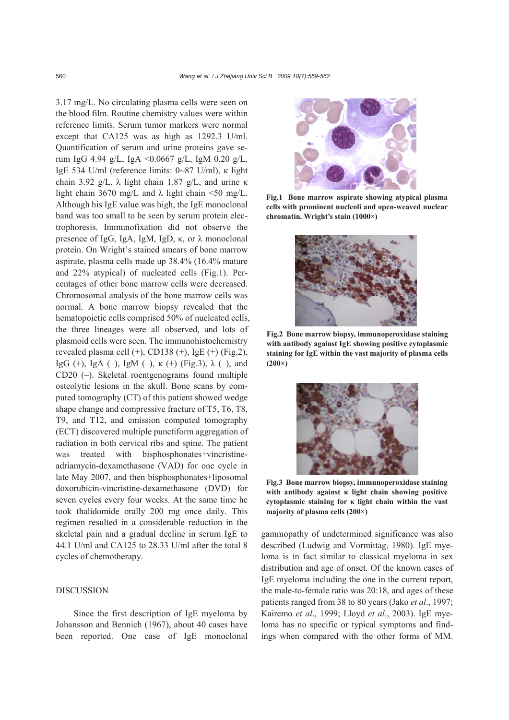3.17 mg/L. No circulating plasma cells were seen on the blood film. Routine chemistry values were within reference limits. Serum tumor markers were normal except that CA125 was as high as 1292.3 U/ml. Quantification of serum and urine proteins gave serum IgG 4.94 g/L, IgA <0.0667 g/L, IgM 0.20 g/L, IgE 534 U/ml (reference limits: 0~87 U/ml), κ light chain 3.92 g/L, λ light chain 1.87 g/L, and urine κ light chain 3670 mg/L and  $\lambda$  light chain <50 mg/L. Although his IgE value was high, the IgE monoclonal band was too small to be seen by serum protein electrophoresis. Immunofixation did not observe the presence of IgG, IgA, IgM, IgD, κ, or  $λ$  monoclonal protein. On Wright's stained smears of bone marrow aspirate, plasma cells made up 38.4% (16.4% mature and 22% atypical) of nucleated cells (Fig.1). Percentages of other bone marrow cells were decreased. Chromosomal analysis of the bone marrow cells was normal. A bone marrow biopsy revealed that the hematopoietic cells comprised 50% of nucleated cells, the three lineages were all observed, and lots of plasmoid cells were seen. The immunohistochemistry revealed plasma cell  $(+)$ , CD138  $(+)$ , IgE  $(+)$  (Fig.2), IgG (+), IgA (-), IgM (-), κ (+) (Fig.3),  $\lambda$  (-), and CD20 (–). Skeletal roentgenograms found multiple osteolytic lesions in the skull. Bone scans by computed tomography (CT) of this patient showed wedge shape change and compressive fracture of T5, T6, T8, T9, and T12, and emission computed tomography (ECT) discovered multiple punctiform aggregation of radiation in both cervical ribs and spine. The patient was treated with bisphosphonates+vincristineadriamycin-dexamethasone (VAD) for one cycle in late May 2007, and then bisphosphonates+liposomal doxorubicin-vincristine-dexamethasone (DVD) for seven cycles every four weeks. At the same time he took thalidomide orally 200 mg once daily. This regimen resulted in a considerable reduction in the skeletal pain and a gradual decline in serum IgE to 44.1 U/ml and CA125 to 28.33 U/ml after the total 8 cycles of chemotherapy.

# DISCUSSION

Since the first description of IgE myeloma by Johansson and Bennich (1967), about 40 cases have been reported. One case of IgE monoclonal



**Fig.1 Bone marrow aspirate showing atypical plasma cells with prominent nucleoli and open-weaved nuclear chromatin. Wright's stain (1000×)** 



**Fig.2 Bone marrow biopsy, immunoperoxidase staining with antibody against IgE showing positive cytoplasmic staining for IgE within the vast majority of plasma cells (200×)**



**Fig.3 Bone marrow biopsy, immunoperoxidase staining with antibody against κ light chain showing positive cytoplasmic staining for κ light chain within the vast majority of plasma cells (200×)**

gammopathy of undetermined significance was also described (Ludwig and Vormittag, 1980). IgE myeloma is in fact similar to classical myeloma in sex distribution and age of onset. Of the known cases of IgE myeloma including the one in the current report, the male-to-female ratio was 20:18, and ages of these patients ranged from 38 to 80 years (Jako *et al*., 1997; Kairemo *et al*., 1999; Lloyd *et al*., 2003). IgE myeloma has no specific or typical symptoms and findings when compared with the other forms of MM.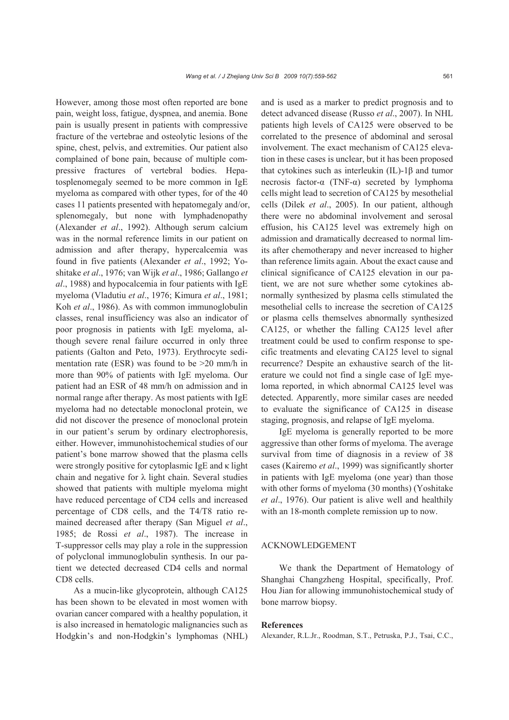However, among those most often reported are bone pain, weight loss, fatigue, dyspnea, and anemia. Bone pain is usually present in patients with compressive fracture of the vertebrae and osteolytic lesions of the spine, chest, pelvis, and extremities. Our patient also complained of bone pain, because of multiple compressive fractures of vertebral bodies. Hepatosplenomegaly seemed to be more common in IgE myeloma as compared with other types, for of the 40 cases 11 patients presented with hepatomegaly and/or, splenomegaly, but none with lymphadenopathy (Alexander *et al*., 1992). Although serum calcium was in the normal reference limits in our patient on admission and after therapy, hypercalcemia was found in five patients (Alexander *et al*., 1992; Yoshitake *et al*., 1976; van Wijk *et al*., 1986; Gallango *et al*., 1988) and hypocalcemia in four patients with IgE myeloma (Vladutiu *et al*., 1976; Kimura *et al*., 1981; Koh *et al*., 1986). As with common immunoglobulin classes, renal insufficiency was also an indicator of poor prognosis in patients with IgE myeloma, although severe renal failure occurred in only three patients (Galton and Peto, 1973). Erythrocyte sedimentation rate (ESR) was found to be >20 mm/h in more than 90% of patients with IgE myeloma. Our patient had an ESR of 48 mm/h on admission and in normal range after therapy. As most patients with IgE myeloma had no detectable monoclonal protein, we did not discover the presence of monoclonal protein in our patient's serum by ordinary electrophoresis, either. However, immunohistochemical studies of our patient's bone marrow showed that the plasma cells were strongly positive for cytoplasmic IgE and κ light chain and negative for  $\lambda$  light chain. Several studies showed that patients with multiple myeloma might have reduced percentage of CD4 cells and increased percentage of CD8 cells, and the T4/T8 ratio remained decreased after therapy (San Miguel *et al*., 1985; de Rossi *et al*., 1987). The increase in T-suppressor cells may play a role in the suppression of polyclonal immunoglobulin synthesis. In our patient we detected decreased CD4 cells and normal CD8 cells.

As a mucin-like glycoprotein, although CA125 has been shown to be elevated in most women with ovarian cancer compared with a healthy population, it is also increased in hematologic malignancies such as Hodgkin's and non-Hodgkin's lymphomas (NHL) and is used as a marker to predict prognosis and to detect advanced disease (Russo *et al*., 2007). In NHL patients high levels of CA125 were observed to be correlated to the presence of abdominal and serosal involvement. The exact mechanism of CA125 elevation in these cases is unclear, but it has been proposed that cytokines such as interleukin  $(IL)$ -1β and tumor necrosis factor-α (TNF-α) secreted by lymphoma cells might lead to secretion of CA125 by mesothelial cells (Dilek *et al*., 2005). In our patient, although there were no abdominal involvement and serosal effusion, his CA125 level was extremely high on admission and dramatically decreased to normal limits after chemotherapy and never increased to higher than reference limits again. About the exact cause and clinical significance of CA125 elevation in our patient, we are not sure whether some cytokines abnormally synthesized by plasma cells stimulated the mesothelial cells to increase the secretion of CA125 or plasma cells themselves abnormally synthesized CA125, or whether the falling CA125 level after treatment could be used to confirm response to specific treatments and elevating CA125 level to signal recurrence? Despite an exhaustive search of the literature we could not find a single case of IgE myeloma reported, in which abnormal CA125 level was detected. Apparently, more similar cases are needed to evaluate the significance of CA125 in disease staging, prognosis, and relapse of IgE myeloma.

IgE myeloma is generally reported to be more aggressive than other forms of myeloma. The average survival from time of diagnosis in a review of 38 cases (Kairemo *et al*., 1999) was significantly shorter in patients with IgE myeloma (one year) than those with other forms of myeloma (30 months) (Yoshitake *et al*., 1976). Our patient is alive well and healthily with an 18-month complete remission up to now.

#### ACKNOWLEDGEMENT

We thank the Department of Hematology of Shanghai Changzheng Hospital, specifically, Prof. Hou Jian for allowing immunohistochemical study of bone marrow biopsy.

#### **References**

Alexander, R.L.Jr., Roodman, S.T., Petruska, P.J., Tsai, C.C.,